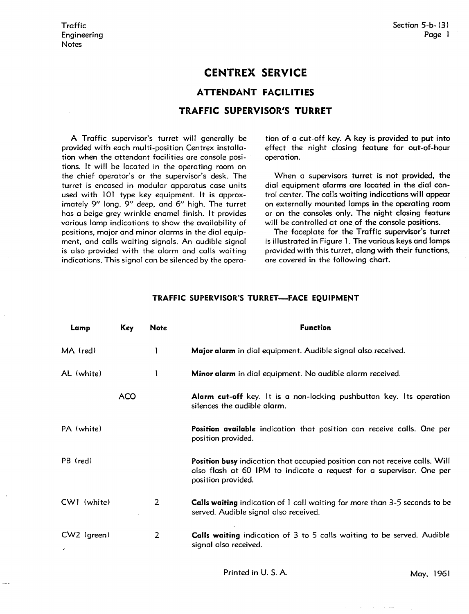# **CENTREX SERVICE**

## **ATTENDANT FACILITIES**

### **TRAFFIC SUPERVISOR'S TURRET**

A Traffic supervisor's turret will generally be provided with each multi-position Centrex installation when the attendant facilities are console positions. It will be located in the operating room on the chief operator's or the supervisor's desk. The turret is encased in modular apparatus case units used with 101 type key equipment. It is approximately 9" long, 9" deep, and 6" high. The turret has a beige grey wrinkle enamel finish. It provides various lamp indications to show the availability of positions, major and minor alarms in the dial equipment, and calls waiting signals. An audible signal is also provided with the alarm and calls waiting indications. This signal can be silenced by the opera-

tion of a cut-off key. **A** key is provided to put into effect the night closing feature for out-of-hour operation.

When a supervisors turret is not provided, the dial equipment alarms are located in the dial control center. The calls waiting indications will appear on externally mounted lamps in the operating room or on the consoles only. The night closing feature will be controlled at one of the console positions.

The faceplate for the Traffic supervisor's turret is illustrated in Figure l. The various keys and lamps provided with this turret, along with their functions, are covered in the following chart.

#### TRAFFIC SUPERVISOR'S TURRET-FACE EQUIPMENT

| Lamp          | Key        | Note           | <b>Function</b>                                                                                                                                                                  |
|---------------|------------|----------------|----------------------------------------------------------------------------------------------------------------------------------------------------------------------------------|
| MA (red)      |            |                | Major alarm in dial equipment. Audible signal also received.                                                                                                                     |
| AL (white)    |            |                | Minor alarm in dial equipment. No audible alarm received.                                                                                                                        |
|               | <b>ACO</b> |                | Alarm cut-off key. It is a non-locking pushbutton key. Its operation<br>silences the audible alarm.                                                                              |
| PA (white)    |            |                | Position available indication that position can receive calls. One per<br>position provided.                                                                                     |
| PB (red)      |            |                | <b>Position busy</b> indication that occupied position can not receive calls. Will<br>also flash at 60 IPM to indicate a request for a supervisor. One per<br>position provided. |
| $CWI$ (white) |            | $\overline{2}$ | Calls waiting indication of 1 call waiting for more than 3-5 seconds to be<br>served. Audible signal also received.                                                              |
| CW2 (green)   |            | 2              | <b>Calls waiting</b> indication of 3 to 5 calls waiting to be served. Audible<br>signal also received.                                                                           |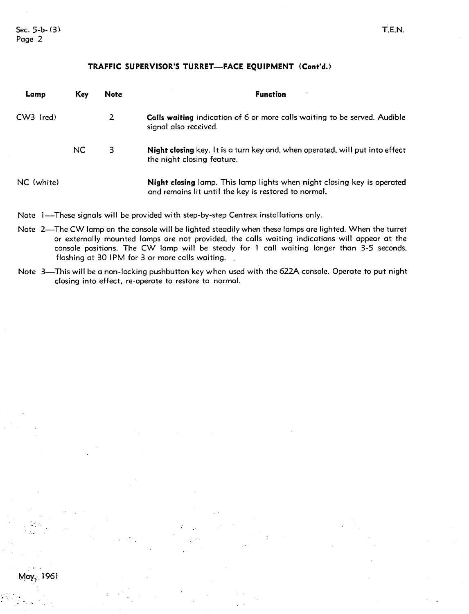Sec.  $5-b-(3)$ Page 2

~oy} 1961

#### TRAFFIC SUPERVISOR'S TURRET-FACE EQUIPMENT (Cont'd.)

| Lamp        | Key       | Note | <b>Function</b><br>$\bullet$                                                                                                           |
|-------------|-----------|------|----------------------------------------------------------------------------------------------------------------------------------------|
| $CW3$ (red) |           |      | <b>Calls waiting</b> indication of 6 or more calls waiting to be served. Audible<br>signal also received.                              |
|             | <b>NC</b> | 3    | Night closing key. It is a turn key and, when operated, will put into effect<br>the night closing feature.                             |
| NC (white)  |           |      | <b>Night closing</b> lamp. This lamp lights when night closing key is operated<br>and remains lit until the key is restored to normal. |

Note 1—These signals will be provided with step-by-step Centrex installations only.

- Note 2—The CW lamp on the console will be lighted steadily when these lamps are lighted. When the turret or externally mounted lamps are not provided, the calls waiting indications will appear at the console positions. The CW lamp will be steady for l call waiting longer than 3-5 seconds, flashing at 30 IPM for 3 or more calls waiting.
- Note 3-This will be a non-locking pushbutton key when used with the 622A console. Operate to put night closing into effect, re-operate to restore to normal.